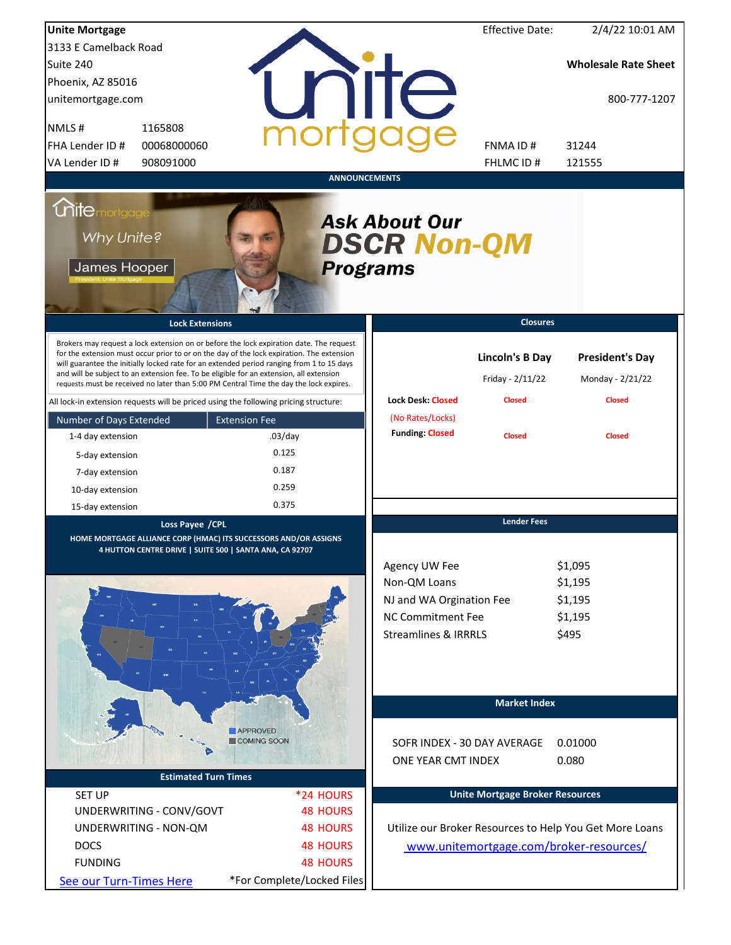| <b>Unite Mortgage</b>                                                                                                                                                                                                                                                                                                                                                                                                                                                  |                                       |                                                                                                                          | <b>Effective Date:</b>                     | 2/4/22 10:01 AM                                         |
|------------------------------------------------------------------------------------------------------------------------------------------------------------------------------------------------------------------------------------------------------------------------------------------------------------------------------------------------------------------------------------------------------------------------------------------------------------------------|---------------------------------------|--------------------------------------------------------------------------------------------------------------------------|--------------------------------------------|---------------------------------------------------------|
| 3133 E Camelback Road                                                                                                                                                                                                                                                                                                                                                                                                                                                  |                                       |                                                                                                                          |                                            |                                                         |
| Suite 240                                                                                                                                                                                                                                                                                                                                                                                                                                                              |                                       |                                                                                                                          |                                            | <b>Wholesale Rate Sheet</b>                             |
| Phoenix, AZ 85016                                                                                                                                                                                                                                                                                                                                                                                                                                                      |                                       |                                                                                                                          |                                            |                                                         |
| unitemortgage.com                                                                                                                                                                                                                                                                                                                                                                                                                                                      |                                       | nite                                                                                                                     |                                            | 800-777-1207                                            |
| NMLS#<br>1165808                                                                                                                                                                                                                                                                                                                                                                                                                                                       |                                       |                                                                                                                          |                                            |                                                         |
| FHA Lender ID #<br>00068000060                                                                                                                                                                                                                                                                                                                                                                                                                                         |                                       |                                                                                                                          | FNMA ID#                                   | 31244                                                   |
| VA Lender ID #<br>908091000                                                                                                                                                                                                                                                                                                                                                                                                                                            |                                       |                                                                                                                          | FHLMC ID#                                  | 121555                                                  |
|                                                                                                                                                                                                                                                                                                                                                                                                                                                                        | <b>ANNOUNCEMENTS</b>                  |                                                                                                                          |                                            |                                                         |
| <i><u><b>Chitemortgage</b></u></i><br>Why Unite?<br>James Hooper                                                                                                                                                                                                                                                                                                                                                                                                       | <b>Programs</b>                       | <b>Ask About Our</b><br><b>DSCR Non-QM</b>                                                                               |                                            |                                                         |
| <b>Lock Extensions</b>                                                                                                                                                                                                                                                                                                                                                                                                                                                 |                                       |                                                                                                                          | <b>Closures</b>                            |                                                         |
| Brokers may request a lock extension on or before the lock expiration date. The request<br>for the extension must occur prior to or on the day of the lock expiration. The extension<br>will guarantee the initially locked rate for an extended period ranging from 1 to 15 days<br>and will be subject to an extension fee. To be eligible for an extension, all extension<br>requests must be received no later than 5:00 PM Central Time the day the lock expires. |                                       |                                                                                                                          | <b>Lincoln's B Day</b><br>Friday - 2/11/22 | <b>President's Day</b><br>Monday - 2/21/22              |
| All lock-in extension requests will be priced using the following pricing structure:                                                                                                                                                                                                                                                                                                                                                                                   |                                       | <b>Lock Desk: Closed</b>                                                                                                 | <b>Closed</b>                              | <b>Closed</b>                                           |
| Number of Days Extended                                                                                                                                                                                                                                                                                                                                                                                                                                                | <b>Extension Fee</b>                  | (No Rates/Locks)                                                                                                         |                                            |                                                         |
| 1-4 day extension                                                                                                                                                                                                                                                                                                                                                                                                                                                      | $.03$ /day                            | <b>Funding: Closed</b>                                                                                                   | <b>Closed</b>                              | <b>Closed</b>                                           |
| 5-day extension                                                                                                                                                                                                                                                                                                                                                                                                                                                        | 0.125                                 |                                                                                                                          |                                            |                                                         |
| 7-day extension                                                                                                                                                                                                                                                                                                                                                                                                                                                        | 0.187                                 |                                                                                                                          |                                            |                                                         |
| 10-day extension                                                                                                                                                                                                                                                                                                                                                                                                                                                       | 0.259                                 |                                                                                                                          |                                            |                                                         |
| 15-day extension                                                                                                                                                                                                                                                                                                                                                                                                                                                       | 0.375                                 |                                                                                                                          |                                            |                                                         |
| Loss Payee / CPL<br>HOME MORTGAGE ALLIANCE CORP (HMAC) ITS SUCCESSORS AND/OR ASSIGNS<br>4 HUTTON CENTRE DRIVE   SUITE 500   SANTA ANA, CA 92707                                                                                                                                                                                                                                                                                                                        |                                       | Agency UW Fee<br>Non-QM Loans<br>NJ and WA Orgination Fee<br><b>NC Commitment Fee</b><br><b>Streamlines &amp; IRRRLS</b> | <b>Lender Fees</b>                         | \$1,095<br>\$1,195<br>\$1,195<br>\$1,195<br>\$495       |
|                                                                                                                                                                                                                                                                                                                                                                                                                                                                        | <b>APPROVED</b><br><b>COMING SOON</b> | SOFR INDEX - 30 DAY AVERAGE<br>ONE YEAR CMT INDEX                                                                        | <b>Market Index</b>                        | 0.01000<br>0.080                                        |
| <b>Estimated Turn Times</b>                                                                                                                                                                                                                                                                                                                                                                                                                                            |                                       |                                                                                                                          |                                            |                                                         |
| <b>SET UP</b>                                                                                                                                                                                                                                                                                                                                                                                                                                                          | *24 HOURS                             |                                                                                                                          | <b>Unite Mortgage Broker Resources</b>     |                                                         |
| UNDERWRITING - CONV/GOVT                                                                                                                                                                                                                                                                                                                                                                                                                                               | <b>48 HOURS</b>                       |                                                                                                                          |                                            |                                                         |
| UNDERWRITING - NON-QM                                                                                                                                                                                                                                                                                                                                                                                                                                                  | <b>48 HOURS</b>                       |                                                                                                                          |                                            | Utilize our Broker Resources to Help You Get More Loans |
| <b>DOCS</b>                                                                                                                                                                                                                                                                                                                                                                                                                                                            | <b>48 HOURS</b>                       |                                                                                                                          |                                            | www.unitemortgage.com/broker-resources/                 |
| <b>FUNDING</b>                                                                                                                                                                                                                                                                                                                                                                                                                                                         | <b>48 HOURS</b>                       |                                                                                                                          |                                            |                                                         |
| See our Turn-Times Here                                                                                                                                                                                                                                                                                                                                                                                                                                                | *For Complete/Locked Files            |                                                                                                                          |                                            |                                                         |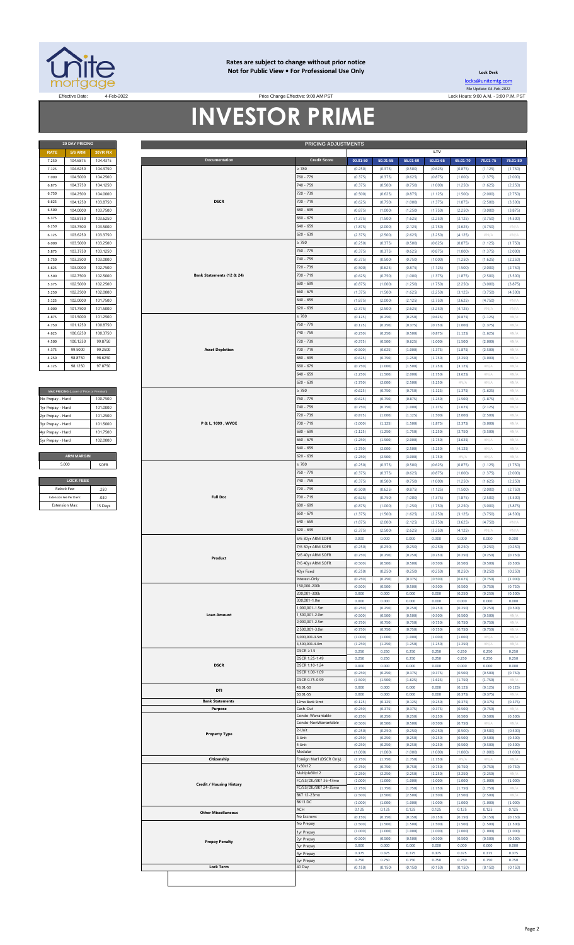

#### **Rates are subject to change without prior notice Not for Public View • For Professional Use Only**

**Lock Desk** [locks@unitemtg](mailto:locks@unitemtg.com).com File Update: 04-Feb-2022

Effective: 9:00 AM PST Lock Hours: 9:00 A.M. - 3:00 P.M. PST Lock Hours: 9:00 A.M. - 3:00 P.M. PST

# **INVESTOR PRIME**

|                           | <b>PRICING ADJUSTMENTS</b> |
|---------------------------|----------------------------|
|                           |                            |
| <b>Documentation</b>      | <b>Credit Score</b>        |
|                           | $\geq 780$                 |
|                           | 760 - 779                  |
|                           | 740 - 759                  |
|                           | 720 - 739                  |
| <b>DSCR</b>               | 700 - 719                  |
|                           | 680 - 699                  |
|                           | $660 - 679$                |
|                           | $640 - 659$                |
|                           | $620 - 639$                |
|                           | $\geq 780$                 |
|                           | 760 - 779                  |
|                           | 740 - 759                  |
|                           | 720 - 739                  |
| Bank Statements (12 & 24) | $700 - 719$                |
|                           | 680 - 699                  |
|                           | $660 - 679$                |
|                           | $640 - 659$                |
|                           | $620 - 639$                |
|                           | $\geq 780$                 |
|                           | 760 - 779                  |
|                           | 740 - 759                  |
|                           | 720 - 739                  |
| <b>Asset Depletion</b>    | $700 - 719$                |
|                           | 680 - 699                  |
|                           | $660 - 679$                |

| MAX PRICING (Lower of Price or Premium) |          |
|-----------------------------------------|----------|
| No Prepay - Hard                        | 100.7500 |
| 1yr Prepay - Hard                       | 101.0000 |
| 2yr Prepay - Hard                       | 101 2500 |
| 3yr Prepay - Hard                       | 101 5000 |
| 4yr Prepay - Hard                       | 101.7500 |
| 5yr Prepay - Hard                       | 102.0000 |
|                                         |          |
| <b>ARM MARGIN</b>                       |          |
| 5.000                                   | SOFR     |
|                                         |          |
| <b>LOCK FEES</b>                        |          |
| Relock Fee:                             | 250      |

| Relock Fee:             | 250     |
|-------------------------|---------|
| Extension Fee Per Diem: | 030     |
| <b>Extension Max:</b>   | 15 Days |
|                         |         |

| <b>RATE</b>                   | <b>5/6 ARM</b>                          | 30YR FIX |  |                                 |                                |          |          |          | LTV      |          |          |                           |
|-------------------------------|-----------------------------------------|----------|--|---------------------------------|--------------------------------|----------|----------|----------|----------|----------|----------|---------------------------|
| 7.250                         | 104.6875                                | 104.4375 |  | Documentation                   | <b>Credit Score</b>            | 00.01-50 | 50.01-55 | 55.01-60 | 60.01-65 | 65.01-70 | 70.01-75 | 75.01-80                  |
| 7.125                         | 104.6250                                | 104.3750 |  |                                 | > 780                          | (0.250)  | (0.375)  | (0.500)  | (0.625)  | (0.875)  | (1.125)  | (1.750)                   |
|                               |                                         |          |  |                                 |                                |          |          |          |          |          |          |                           |
| 7.000                         | 104.5000                                | 104.2500 |  |                                 | 760 - 779                      | (0.375)  | (0.375)  | (0.625)  | (0.875)  | (1.000)  | (1.375)  | (2.000)                   |
| 6.875                         | 104.3750                                | 104.1250 |  |                                 | 740 - 759                      | (0.375)  | (0.500)  | (0.750)  | (1.000)  | (1.250)  | (1.625)  | (2.250)                   |
| 6.750                         | 104.2500                                | 104.0000 |  |                                 | 720 - 739                      | (0.500)  | (0.625)  | (0.875)  | (1.125)  | (1.500)  | (2.000)  | (2.750)                   |
|                               |                                         |          |  |                                 |                                |          |          |          |          |          |          |                           |
| 6.625                         | 104.1250                                | 103.8750 |  | <b>DSCR</b>                     | 700 - 719                      | (0.625)  | (0.750)  | (1.000)  | (1.375)  | (1.875)  | (2.500)  | (3.500)                   |
| 6.500                         | 104.0000                                | 103.7500 |  |                                 | 680 - 699                      | (0.875)  | (1.000)  | (1.250)  | (1.750)  | (2.250)  | (3.000)  | (3.875)                   |
| 6.375                         | 103.8750                                | 103.6250 |  |                                 | $660 - 679$                    | (1.375)  | (1.500)  | (1.625)  | (2.250)  | (3.125)  | (3.750)  | (4.500)                   |
| 6.250                         | 103.7500                                | 103.5000 |  |                                 | $640 - 659$                    | (1.875)  | (2.000)  | (2.125)  | (2.750)  | (3.625)  | (4.750)  | $\#N/A$                   |
|                               |                                         |          |  |                                 |                                |          |          |          |          |          |          |                           |
| 6.125                         | 103.6250                                | 103.3750 |  |                                 | 620 - 639                      | (2.375)  | (2.500)  | (2.625)  | (3.250)  | (4.125)  | $\#N/A$  | $\#N/A$                   |
| 6.000                         | 103.5000                                | 103.2500 |  |                                 | $\geq 780$                     | (0.250)  | (0.375)  | (0.500)  | (0.625)  | (0.875)  | (1.125)  | (1.750)                   |
| 5.875                         | 103.3750                                | 103.1250 |  |                                 | 760 - 779                      | (0.375)  | (0.375)  | (0.625)  | (0.875)  | (1.000)  | (1.375)  | (2.000)                   |
| 5.750                         | 103.2500                                | 103.0000 |  |                                 | 740 - 759                      | (0.375)  | (0.500)  | (0.750)  | (1.000)  | (1.250)  | (1.625)  | (2.250)                   |
|                               |                                         |          |  |                                 |                                |          |          |          |          |          |          |                           |
| 5.625                         | 103.0000                                | 102.7500 |  |                                 | 720 - 739                      | (0.500)  | (0.625)  | (0.875)  | (1.125)  | (1.500)  | (2.000)  | (2.750)                   |
| 5.500                         | 102.7500                                | 102.5000 |  | Bank Statements (12 & 24)       | 700 - 719                      | (0.625)  | (0.750)  | (1.000)  | (1.375)  | (1.875)  | (2.500)  | (3.500)                   |
| 5.375                         | 102.5000                                | 102.2500 |  |                                 | 680 - 699                      | (0.875)  | (1.000)  | (1.250)  | (1.750)  | (2.250)  | (3.000)  | (3.875)                   |
| 5.250                         | 102.2500                                | 102.0000 |  |                                 | $660 - 679$                    | (1.375)  | (1.500)  | (1.625)  | (2.250)  | (3.125)  | (3.750)  | (4.500)                   |
| 5.125                         | 102.0000                                | 101.7500 |  |                                 | $640 - 659$                    |          | (2.000)  |          |          |          |          |                           |
|                               |                                         |          |  |                                 |                                | (1.875)  |          | (2.125)  | (2.750)  | (3.625)  | (4.750)  | $\#\mathbb{N}/\mathbb{A}$ |
| 5.000                         | 101.7500                                | 101.5000 |  |                                 | 620 - 639                      | (2.375)  | (2.500)  | (2.625)  | (3.250)  | (4.125)  | $\#N/A$  | $\#\mathbb{N}/\mathbb{A}$ |
| 4.875                         | 101.5000                                | 101.2500 |  |                                 | : 780                          | (0.125)  | (0.250)  | (0.250)  | (0.625)  | (0.875)  | (1.125)  | $\#N/A$                   |
| 4.750                         | 101.1250                                | 100.8750 |  |                                 | 760 - 779                      | (0.125)  | (0.250)  | (0.375)  | (0.750)  | (1.000)  | (1.375)  | $\#N/A$                   |
| 4.625                         | 100.6250                                | 100.3750 |  |                                 | 740 - 759                      | (0.250)  | (0.250)  | (0.500)  | (0.875)  | (1.125)  | (1.625)  | $\#N/A$                   |
| 4.500                         | 100.1250                                | 99.8750  |  |                                 | 720 - 739                      | (0.375)  | (0.500)  | (0.625)  | (1.000)  | (1.500)  | (2.000)  | $\#N/A$                   |
|                               |                                         |          |  |                                 |                                |          |          |          |          |          |          |                           |
| 4.375                         | 99.5000                                 | 99.2500  |  | <b>Asset Depletion</b>          | $700 - 719$                    | (0.500)  | (0.625)  | (1.000)  | (1.375)  | (1.875)  | (2.500)  | $\#N/A$                   |
| 4.250                         | 98.8750                                 | 98.6250  |  |                                 | 680 - 699                      | (0.625)  | (0.750)  | (1.250)  | (1.750)  | (2.250)  | (3.000)  | $\#N/A$                   |
| 4.125                         | 98.1250                                 | 97.8750  |  |                                 | $660 - 679$                    | (0.750)  | (1.000)  | (1.500)  | (2.250)  | (3.125)  | #N/A     | #N/A                      |
|                               |                                         |          |  |                                 | $640 - 659$                    | (1.250)  | (1.500)  | (2.000)  | (2.750)  | (3.625)  | #N/A     | $\#N/A$                   |
|                               |                                         |          |  |                                 | 620 - 639                      |          |          |          |          | #N/A     | #N/A     | #N/A                      |
|                               |                                         |          |  |                                 |                                | (1.750)  | (2.000)  | (2.500)  | (3.250)  |          |          |                           |
|                               | MAX PRICING (Lower of Price or Premium) |          |  |                                 | : 780                          | (0.625)  | (0.750)  | (0.750)  | (1.125)  | (1.375)  | (1.625)  | #N//                      |
| No Prepay - Hard              |                                         | 100.7500 |  |                                 | 760 - 779                      | (0.625)  | (0.750)  | (0.875)  | (1.250)  | (1.500)  | (1.875)  | $\#N/A$                   |
| 1yr Prepay - Hard             |                                         | 101.0000 |  |                                 | 740 - 759                      | (0.750)  | (0.750)  | (1.000)  | (1.375)  | (1.625)  | (2.125)  | $\#N/A$                   |
| 2yr Prepay - Hard             |                                         | 101.2500 |  |                                 | 720 - 739                      | (0.875)  | (1.000)  | (1.125)  | (1.500)  | (2.000)  | (2.500)  | #N/A                      |
|                               |                                         | 101.5000 |  | P & L, 1099, WVOE               | 700 - 719                      | (1.000)  | (1.125)  | (1.500)  | (1.875)  | (2.375)  | (3.000)  | $\#N/A$                   |
| 3yr Prepay - Hard             |                                         |          |  |                                 |                                |          |          |          |          |          |          |                           |
| 4yr Prepay - Hard             |                                         | 101.7500 |  |                                 | 680 - 699                      | (1.125)  | (1.250)  | (1.750)  | (2.250)  | (2.750)  | (3.500)  | $\#N/A$                   |
| 5yr Prepay - Hard             |                                         | 102.0000 |  |                                 | $660 - 679$                    | (1.250)  | (1.500)  | (2.000)  | (2.750)  | (3.625)  | #N/A     | $\#N/A$                   |
|                               |                                         |          |  |                                 | $640 - 659$                    | (1.750)  | (2.000)  | (2.500)  | (3.250)  | (4.125)  | #N/A     | $\#N/A$                   |
|                               | <b>ARM MARGIN</b>                       |          |  |                                 | 620 - 639                      | (2.250)  | (2.500)  | (3.000)  | (3.750)  | #N/A     | #N/A     | $\#N/A$                   |
|                               |                                         |          |  |                                 |                                |          |          |          |          |          |          |                           |
| 5.000                         |                                         | SOFR     |  |                                 | : 780                          | (0.250)  | (0.375)  | (0.500)  | (0.625)  | (0.875)  | (1.125)  | (1.750)                   |
|                               |                                         |          |  |                                 | 760 - 779                      | (0.375)  | (0.375)  | (0.625)  | (0.875)  | (1.000)  | (1.375)  | (2.000)                   |
|                               | <b>LOCK FEES</b>                        |          |  |                                 | 740 - 759                      | (0.375)  | (0.500)  | (0.750)  | (1.000)  | (1.250)  | (1.625)  | (2.250)                   |
| Relock Fee:                   |                                         | .250     |  |                                 | 720 - 739                      | (0.500)  | (0.625)  | (0.875)  | (1.125)  | (1.500)  | (2.000)  | (2.750)                   |
| <b>Extension Fee Per Diem</b> |                                         | .030     |  | <b>Full Doc</b>                 | 700 - 719                      | (0.625)  | (0.750)  | (1.000)  | (1.375)  | (1.875)  | (2.500)  | (3.500)                   |
|                               |                                         |          |  |                                 |                                |          |          |          |          |          |          |                           |
|                               | <b>Extension Max:</b><br>15 Days        |          |  |                                 | 680 - 699                      | (0.875)  | (1.000)  | (1.250)  | (1.750)  | (2.250)  | (3.000)  | (3.875)                   |
|                               |                                         |          |  |                                 | $660 - 679$                    | (1.375)  | (1.500)  | (1.625)  | (2.250)  | (3.125)  | (3.750)  | (4.500)                   |
|                               |                                         |          |  |                                 | $640 - 659$                    | (1.875)  | (2.000)  | (2.125)  | (2.750)  | (3.625)  | (4.750)  | $\#N/A$                   |
|                               |                                         |          |  |                                 | $620 - 639$                    | (2.375)  | (2.500)  | (2.625)  | (3.250)  | (4.125)  | $\#N/A$  | $\#N/A$                   |
|                               |                                         |          |  |                                 |                                |          |          |          |          | 0.000    |          |                           |
|                               |                                         |          |  |                                 | 5/6 30yr ARM SOFR              | 0.000    | 0.000    | 0.000    | 0.000    |          | 0.000    | 0.000                     |
|                               |                                         |          |  |                                 | 7/6 30yr ARM SOFR              | (0.250)  | (0.250)  | (0.250)  | (0.250)  | (0.250)  | (0.250)  | (0.250)                   |
|                               |                                         |          |  | Product                         | 5/6 40yr ARM SOFR              | (0.250)  | (0.250)  | (0.250)  | (0.250)  | (0.250)  | (0.250)  | (0.250)                   |
|                               |                                         |          |  |                                 | 7/6 40yr ARM SOFR              | (0.500)  | (0.500)  | (0.500)  | (0.500)  | (0.500)  | (0.500)  | (0.500)                   |
|                               |                                         |          |  |                                 | 4Uyr Fixea                     | (0.250)  | (0.250)  | (0.250)  | (0.250)  | (0.250)  | (0.250)  | (0.250)                   |
|                               |                                         |          |  |                                 | Interest-Only                  | (0.250)  | (0.250)  | (0.375)  | (0.500)  | (0.625)  | (0.750)  | (1.000)                   |
|                               |                                         |          |  |                                 | 150,000-200k                   | (0.500)  | (0.500)  | (0.500)  | (0.500)  | (0.500)  | (0.750)  | (0.750)                   |
|                               |                                         |          |  |                                 | 200,001-300k                   | 0.000    | 0.000    | 0.000    | 0.000    | (0.250)  | (0.250)  | (0.500)                   |
|                               |                                         |          |  |                                 | 300,001-1.0m                   | 0.000    | 0.000    | 0.000    | 0.000    | 0.000    | 0.000    | 0.000                     |
|                               |                                         |          |  |                                 | 1,000,001-1.5m                 | (0.250)  | (0.250)  | (0.250)  | (0.250)  | (0.250)  | (0.250)  | (0.500)                   |
|                               |                                         |          |  | <b>Loan Amount</b>              | 1,500,001-2.0m                 | (0.500)  | (0.500)  | (0.500)  | (0.500)  | (0.500)  | (0.500)  | #N//                      |
|                               |                                         |          |  |                                 |                                |          |          |          |          |          |          |                           |
|                               |                                         |          |  |                                 | 000,001-2.5m<br>2,500,001-3.0m | (0.750)  | (0.750)  | (0.750)  | (0.750)  | (0.750)  | (0.750)  | #N//                      |
|                               |                                         |          |  |                                 |                                | (0.750)  | (0.750)  | (0.750)  | (0.750)  | (0.750)  | (0.750)  | $\#N/2$                   |
|                               |                                         |          |  |                                 | 3,000,001-3.5m                 | (1.000)  | (1.000)  | (1.000)  | (1.000)  | (1.000)  | #N/A     | #N/A                      |
|                               |                                         |          |  |                                 | 3,500,001-4.0m                 | (1.250)  | (1.250)  | (1.250)  | (1.250)  | (1.250)  | #N//     | #N/ $/$                   |
|                               |                                         |          |  |                                 | $DSCR \geq 1.5$                | 0.250    | 0.250    | 0.250    | 0.250    | 0.250    | 0.250    | 0.250                     |
|                               |                                         |          |  |                                 | DSCR 1.25-1.49                 | 0.250    | 0.250    | 0.250    | 0.250    | 0.250    | 0.250    | 0.250                     |
|                               |                                         |          |  | <b>DSCR</b>                     | DSCR 1.10-1.24                 | 0.000    | 0.000    | 0.000    | 0.000    | 0.000    | 0.000    | 0.000                     |
|                               |                                         |          |  |                                 | DSCR 1.00-1.09                 | (0.250)  | (0.250)  | (0.375)  | (0.375)  | (0.500)  | (0.500)  | (0.750)                   |
|                               |                                         |          |  |                                 | DSCR 0.75-0.99                 | (1.500)  | (1.500)  | (1.625)  | (1.625)  | (1.750)  | (1.750)  | $\#N$ /                   |
|                               |                                         |          |  | DTI                             | 43.01-50                       | 0.000    | 0.000    | 0.000    | 0.000    | (0.125)  | (0.125)  | (0.125)                   |
|                               |                                         |          |  |                                 | 50.01-55                       | 0.000    | 0.000    | 0.000    | 0.000    | (0.375)  | (0.375)  | $\#N$ /                   |
|                               |                                         |          |  | <b>Bank Statements</b>          | 12mo Bank Stmt                 | (0.125)  | (0.125)  | (0.125)  | (0.250)  | (0.375)  | (0.375)  | (0.375)                   |
|                               |                                         |          |  | Purpose                         | Cash-Out                       | (0.250)  | (0.375)  | (0.375)  | (0.375)  | (0.500)  | (0.750)  | #N/A                      |
|                               |                                         |          |  |                                 | Condo-Warrantable              | (0.250)  | (0.250)  | (0.250)  | (0.250)  | (0.500)  | (0.500)  | (0.500)                   |
|                               |                                         |          |  |                                 | Condo-NonWarrantable           | (0.500)  | (0.500)  | (0.500)  | (0.500)  | (0.750)  | #N//     | $\#N$ /                   |
|                               |                                         |          |  | <b>Property Type</b>            | 2-Unit                         | (0.250)  | (0.250)  | (0.250)  | (0.250)  | (0.500)  | (0.500)  | (0.500)                   |
|                               |                                         |          |  |                                 | 3-Unit                         | (0.250)  | (0.250)  | (0.250)  | (0.250)  | (0.500)  | (0.500)  | (0.500)                   |
|                               |                                         |          |  |                                 | 4-Unit                         | (0.250)  | (0.250)  | (0.250)  | (0.250)  | (0.500)  | (0.500)  | (0.500)                   |
|                               |                                         |          |  |                                 | Modular                        | (1.000)  | (1.000)  | (1.000)  | (1.000)  | (1.000)  | (1.000)  | (1.000)                   |
|                               |                                         |          |  | Citizenship                     | Foreign Nat'l (DSCR Only)      | (1.750)  | (1.750)  | (1.750)  | (1.750)  | $\#N/2$  | #N/      | #N//                      |
|                               |                                         |          |  |                                 | 1x30x12                        | (0.750)  | (0.750)  | (0.750)  | (0.750)  | (0.750)  | (0.750)  | (0.750)                   |
|                               |                                         |          |  |                                 | Multiple30x12                  | (2.250)  | (2.250)  | (2.250)  | (2.250)  | (2.250)  | (2.250)  | #N/A                      |
|                               |                                         |          |  |                                 | FC/SS/DIL/BK7 36-47mo          | (1.000)  | (1.000)  | (1.000)  | (1.000)  | (1.000)  | (1.000)  | (1.000)                   |
|                               |                                         |          |  | <b>Credit / Housing History</b> | FC/SS/DIL/BK7 24-35mo          | (1.750)  | (1.750)  | (1.750)  | (1.750)  | (1.750)  | (1.750)  | #N/A                      |
|                               |                                         |          |  |                                 | BK7 12-23mo                    | (2.500)  | (2.500)  | (2.500)  | (2.500)  | (2.500)  | (2.500)  | #N//                      |
|                               |                                         |          |  |                                 | BK13 DC                        | (1.000)  | (1.000)  | (1.000)  | (1.000)  | (1.000)  | (1.000)  | (1.000)                   |
|                               |                                         |          |  |                                 | ACH                            | 0.125    | 0.125    | 0.125    | 0.125    | 0.125    | 0.125    | 0.125                     |
|                               |                                         |          |  | <b>Other Miscellaneous</b>      | No Escrows                     | (0.150)  | (0.150)  | (0.150)  | (0.150)  | (0.150)  | (0.150)  | (0.150)                   |
|                               |                                         |          |  |                                 | No Prepay                      | (1.500)  | (1.500)  | (1.500)  | (1.500)  | (1.500)  | (1.500)  | (1.500)                   |
|                               |                                         |          |  |                                 | yr Prepay                      | (1.000)  | (1.000)  | (1.000)  | (1.000)  | (1.000)  | (1.000)  | (1.000)                   |
|                               |                                         |          |  |                                 | yr Prepay                      | (0.500)  | (0.500)  | (0.500)  | (0.500)  | (0.500)  | (0.500)  | (0.500)                   |
|                               |                                         |          |  | <b>Prepay Penalty</b>           | r Prepay                       | 0.000    | 0.000    | 0.000    | 0.000    | 0.000    | 0.000    | 0.000                     |
|                               |                                         |          |  |                                 | 4yr Prepay                     | 0.375    | 0.375    | 0.375    | 0.375    | 0.375    | 0.375    | 0.375                     |
|                               |                                         |          |  |                                 | yr Prepay                      | 0.750    | 0.750    | 0.750    | 0.750    | 0.750    | 0.750    | 0.750                     |
|                               |                                         |          |  | <b>Lock Term</b>                | 40 Day                         | (0.150)  | (0.150)  | (0.150)  | (0.150)  | (0.150)  | (0.150)  | (0.150)                   |
|                               |                                         |          |  |                                 |                                |          |          |          |          |          |          |                           |
|                               |                                         |          |  |                                 |                                |          |          |          |          |          |          |                           |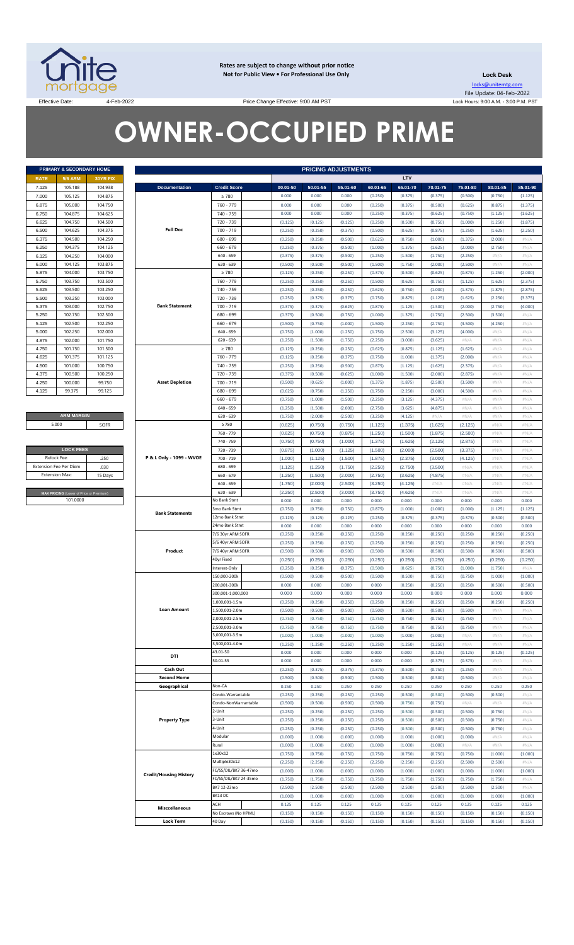

**Rates are subject to change without prior notice Not for Public View • For Professional Use Only** 

**Lock Desk** locks@unitemtg.com File Update: 04-Feb-2022 Lock Hours: 9:00 A.M. - 3:00 P.M. PST

Effective Date: 4-Feb-2022 4-Feb-2022 Price Change Effective: 9:00 AM PST

# **OWNER-OCCUPIED PRIME**

|             | <b>PRIMARY &amp; SECONDARY HOME</b> |                 |
|-------------|-------------------------------------|-----------------|
| <b>RATE</b> | <b>5/6 ARM</b>                      | <b>30YR FIX</b> |
| 7.125       | 105.188                             | 104.938         |
| 7.000       | 105.125                             | 104.875         |
| 6.875       | 105.000                             | 104.750         |
| 6.750       | 104.875                             | 104.625         |
| 6.625       | 104.750                             | 104.500         |
| 6.500       | 104.625                             | 104.375         |
| 6.375       | 104.500                             | 104.250         |
| 6.250       | 104.375                             | 104.125         |
| 6.125       | 104.250                             | 104.000         |
| 6.000       | 104.125                             | 103.875         |
| 5.875       | 104.000                             | 103.750         |
| 5.750       | 103.750                             | 103.500         |
| 5.625       | 103.500                             | 103.250         |
| 5.500       | 103.250                             | 103.000         |
| 5.375       | 103.000                             | 102.750         |
| 5.250       | 102.750                             | 102.500         |
| 5.125       | 102.500                             | 102.250         |
| 5.000       | 102.250                             | 102.000         |
| 4.875       | 102.000                             | 101.750         |
| 4.750       | 101.750                             | 101.500         |
| 4.625       | 101.375                             | 101.125         |
| 4.500       | 101.000                             | 100.750         |
| 4.375       | 100.500                             | 100.250         |
| 4.250       | 100.000                             | 99.750          |
| 4.125       | 99.375                              | 99.125          |

**ARM MARGIN** 5.000

| <b>LOCK FEES</b>                               |         |
|------------------------------------------------|---------|
| Relock Fee:                                    | 250     |
| <b>Extension Fee Per Diem</b>                  | .030    |
| <b>Extension Max:</b>                          | 15 Days |
|                                                |         |
| <b>MAX PRICING</b> (Lower of Price or Premium) |         |
| 101,0000                                       |         |

|                | PRIMARY & SECONDARY HOME                                  |                    |                               |                                |                    |                    | <b>PRICING ADJUSTMENTS</b> |                    |                    |                    |                    |                    |                    |
|----------------|-----------------------------------------------------------|--------------------|-------------------------------|--------------------------------|--------------------|--------------------|----------------------------|--------------------|--------------------|--------------------|--------------------|--------------------|--------------------|
| RATE           | <b>5/6 ARM</b>                                            | <b>30YR FIX</b>    |                               |                                |                    |                    |                            |                    | LTV                |                    |                    |                    |                    |
| 7.125          | 105.188                                                   | 104.938            | <b>Documentation</b>          | <b>Credit Score</b>            | 00.01-50           | 50.01-55           | 55.01-60                   | 60.01-65           | 65.01-70           | 70.01-75           | 75.01-80           | 80.01-85           | 85.01-90           |
| 7.000          | 105.125                                                   | 104.875            |                               | $\geq 780$                     | 0.000              | 0.000              | 0.000                      | (0.250)            | (0.375)            | (0.375)            | (0.500)            | (0.750)            | (1.125)            |
| 6.875          | 105.000                                                   | 104.750            |                               | 760 - 779                      | 0.000              | 0.000              | 0.000                      | (0.250)            | (0.375)            | (0.500)            | (0.625)            | (0.875)            | (1.375)            |
| 6.750          | 104.875                                                   | 104.625            |                               | 740 - 759                      | 0.000              | 0.000              | 0.000                      | (0.250)            | (0.375)            | (0.625)            | (0.750)            | (1.125)            | (1.625)            |
| 6.625          | 104.750                                                   | 104.500            |                               | 720 - 739                      | (0.125)            | (0.125)            | (0.125)                    | (0.250)            | (0.500)            | (0.750)            | (1.000)            | (1.250)            | (1.875)            |
| 6.500          | 104.625                                                   | 104.375            | <b>Full Doc</b>               | 700 - 719                      | (0.250)            | (0.250)            | (0.375)                    | (0.500)            | (0.625)            | (0.875)            | (1.250)            | (1.625)            | (2.250)            |
| 6.375          | 104.500                                                   | 104.250            |                               | 680 - 699                      | (0.250)            | (0.250)            | (0.500)                    | (0.625)            | (0.750)            | (1.000)            | (1.375)            | (2.000)            | $\#N/\beta$        |
| 6.250          | 104.375                                                   | 104.125            |                               | $660 - 679$                    | (0.250)            | (0.375)            | (0.500)                    | (1.000)            | (1.375)            | (1.625)            | (2.000)            | (2.750)            | #N/A               |
| 6.125          | 104.250                                                   | 104.000            |                               | $640 - 659$<br>$620 - 639$     | (0.375)            | (0.375)            | (0.500)                    | (1.250)            | (1.500)            | (1.750)            | (2.250)            | $\#N/A$            | #N/A               |
| 6.000          | 104.125<br>104.000                                        | 103.875<br>103.750 |                               |                                | (0.500)            | (0.500)            | (0.500)                    | (1.500)            | (1.750)            | (2.000)            | (2.500)            | H N/A              | #N/A               |
| 5.875<br>5.750 | 103.750                                                   | 103.500            |                               | $\geq 780$<br>760 - 779        | (0.125)<br>(0.250) | (0.250)<br>(0.250) | (0.250)<br>(0.250)         | (0.375)<br>(0.500) | (0.500)<br>(0.625) | (0.625)<br>(0.750) | (0.875)<br>(1.125) | (1.250)<br>(1.625) | (2.000)<br>(2.375) |
| 5.625          | 103.500                                                   | 103.250            |                               | 740 - 759                      | (0.250)            | (0.250)            | (0.250)                    | (0.625)            | (0.750)            | (1.000)            | (1.375)            | (1.875)            | (2.875)            |
| 5.500          | 103.250                                                   | 103.000            |                               | 720 - 739                      | (0.250)            | (0.375)            | (0.375)                    | (0.750)            | (0.875)            | (1.125)            | (1.625)            | (2.250)            | (3.375)            |
| 5.375          | 103.000                                                   | 102.750            | <b>Bank Statement</b>         | 700 - 719                      | (0.375)            | (0.375)            | (0.625)                    | (0.875)            | (1.125)            | (1.500)            | (2.000)            | (2.750)            | (4.000)            |
| 5.250          | 102.750                                                   | 102.500            |                               | 680 - 699                      | (0.375)            | (0.500)            | (0.750)                    | (1.000)            | (1.375)            | (1.750)            | (2.500)            | (3.500)            | #N/A               |
| 5.125          | 102.500                                                   | 102.250            |                               | $660 - 679$                    | (0.500)            | (0.750)            | (1.000)                    | (1.500)            | (2.250)            | (2.750)            | (3.500)            | (4.250)            | #N/A               |
| 5.000          | 102.250                                                   | 102.000            |                               | $640 - 659$                    | (0.750)            | (1.000)            | (1.250)                    | (1.750)            | (2.500)            | (3.125)            | (4.000)            | $\#N/A$            | #N/A               |
| 4.875          | 102.000                                                   | 101.750            |                               | $620 - 639$                    | (1.250)            | (1.500)            | (1.750)                    | (2.250)            | (3.000)            | (3.625)            | #N/A               | $\#N/A$            | #N/A               |
| 4.750          | 101.750                                                   | 101.500            |                               | $\geq 780$                     | (0.125)            | (0.250)            | (0.250)                    | (0.625)            | (0.875)            | (1.125)            | (1.625)            | $\#N/A$            | #N/A               |
| 4.625          | 101.375                                                   | 101.125            |                               | 760 - 779                      | (0.125)            | (0.250)            | (0.375)                    | (0.750)            | (1.000)            | (1.375)            | (2.000)            | $\#N/A$            | #N/A               |
| 4.500          | 101.000                                                   | 100.750            |                               | 740 - 759                      | (0.250)            | (0.250)            | (0.500)                    | (0.875)            | (1.125)            | (1.625)            | (2.375)            | $\#N/A$            | #N/A               |
| 4.375          | 100.500                                                   | 100.250            |                               | 720 - 739                      | (0.375)            | (0.500)            | (0.625)                    | (1.000)            | (1.500)            | (2.000)            | (2.875)            | $\#N/\ell$         | $\#N$ / $\neq$     |
| 4.250          | 100.000                                                   | 99.750             | <b>Asset Depletion</b>        | $700 - 719$                    | (0.500)            | (0.625)            | (1.000)                    | (1.375)            | (1.875)            | (2.500)            | (3.500)            | $\#N/A$            | #N/A               |
| 4.125          | 99.375                                                    | 99.125             |                               | 680 - 699                      | (0.625)            | (0.750)            | (1.250)                    | (1.750)            | (2.250)            | (3.000)            | (4.500)            | $\#N/A$            | #N/A               |
|                |                                                           |                    |                               | $660 - 679$                    | (0.750)            | (1.000)            | (1.500)                    | (2.250)            | (3.125)            | (4.375)            | $\#N/A$            | $\#N/A$            | #N/A               |
|                |                                                           |                    |                               | $640 - 659$                    | (1.250)            | (1.500)            | (2.000)                    | (2.750)            | (3.625)            | (4.875)            | $\#N/A$            | $\#N/A$            | #N/A               |
|                | <b>ARM MARGIN</b>                                         |                    |                               | $620 - 639$                    | (1.750)            | (2.000)            | (2.500)                    | (3.250)            | (4.125)            | $\#N/A$            | #N/ $\rho$         | H N/A              | #N/A               |
|                | 5.000                                                     | SOFR               |                               | $\geq 780$                     | (0.625)            | (0.750)            | (0.750)                    | (1.125)            | (1.375)            | (1.625)            | (2.125)            | #N/A               | #N/A               |
|                |                                                           |                    |                               | 760 - 779                      | (0.625)            | (0.750)            | (0.875)                    | (1.250)            | (1.500)            | (1.875)            | (2.500)            | #N/A               | #N/A               |
|                | <b>LOCK FEES</b>                                          |                    |                               | 740 - 759                      | (0.750)            | (0.750)            | (1.000)                    | (1.375)            | (1.625)            | (2.125)            | (2.875)            | #N/A<br>#N/A       | #N/A<br>#N/A       |
|                | Relock Fee:                                               | .250               | P & L Only - 1099 - WVOE      | 720 - 739<br>700 - 719         | (0.875)<br>(1.000) | (1.000)<br>(1.125) | (1.125)<br>(1.500)         | (1.500)            | (2.000)<br>(2.375) | (2.500)<br>(3.000) | (3.375)            | #N/A               | #N/A               |
|                |                                                           | .030               |                               | 680 - 699                      | (1.125)            | (1.250)            | (1.750)                    | (1.875)<br>(2.250) | (2.750)            | (3.500)            | (4.125)<br>$\#N/A$ | #N/A               | #N/A               |
|                | xtension Fee Per Diem<br><b>Extension Max:</b><br>15 Days |                    |                               | $660 - 679$                    | (1.250)            | (1.500)            | (2.000)                    | (2.750)            | (3.625)            | (4.875)            | $\#N/F$            | #N/A               | #N/A               |
|                |                                                           |                    |                               | $640 - 659$                    | (1.750)            | (2.000)            | (2.500)                    | (3.250)            | (4.125)            | #N/A               | #N//               | #N/A               | #N/A               |
|                | MAX PRICING (Lower of Price or Premium)                   |                    |                               | $620 - 639$                    | (2.250)            | (2.500)            | (3.000)                    | (3.750)            | (4.625)            | #N/A               | $\#N/F$            | #N/A               | #N/A               |
|                | 101.0000                                                  |                    |                               | No Bank Stmt                   | 0.000              | 0.000              | 0.000                      | 0.000              | 0.000              | 0.000              | 0.000              | 0.000              | 0.000              |
|                |                                                           |                    |                               | 3mo Bank Stmt                  | (0.750)            | (0.750)            | (0.750)                    | (0.875)            | (1.000)            | (1.000)            | (1.000)            | (1.125)            | (1.125)            |
|                |                                                           |                    | <b>Bank Statements</b>        | 12mo Bank Stmt                 | (0.125)            | (0.125)            | (0.125)                    | (0.250)            | (0.375)            | (0.375)            | (0.375)            | (0.500)            | (0.500)            |
|                |                                                           |                    |                               | 24mo Bank Stmt                 | 0.000              | 0.000              | 0.000                      | 0.000              | 0.000              | 0.000              | 0.000              | 0.000              | 0.000              |
|                |                                                           |                    |                               | 7/6 30yr ARM SOFR              | (0.250)            | (0.250)            | (0.250)                    | (0.250)            | (0.250)            | (0.250)            | (0.250)            | (0.250)            | (0.250)            |
|                |                                                           |                    |                               | 5/6 40yr ARM SOFR              | (0.250)            | (0.250)            | (0.250)                    | (0.250)            | (0.250)            | (0.250)            | (0.250)            | (0.250)            | (0.250)            |
|                |                                                           |                    | Product                       | 7/6 40yr ARM SOFR              | (0.500)            | (0.500)            | (0.500)                    | (0.500)            | (0.500)            | (0.500)            | (0.500)            | (0.500)            | (0.500)            |
|                |                                                           |                    |                               | 40yr Fixed                     | (0.250)            | (0.250)            | (0.250)                    | (0.250)            | (0.250)            | (0.250)            | (0.250)            | (0.250)            | (0.250)            |
|                |                                                           |                    |                               | Interest-Only                  | (0.250)            | (0.250)            | (0.375)                    | (0.500)            | (0.625)            | (0.750)            | (1.000)            | (1.750)            | #N/A               |
|                |                                                           |                    |                               | 150.000-200k                   | (0.500)            | (0.500)            | (0.500)                    | (0.500)            | (0.500)            | (0.750)            | (0.750)            | (1.000)            | (1.000)            |
|                |                                                           |                    |                               | 200,001-300k                   | 0.000              | 0.000              | 0.000                      | 0.000              | (0.250)            | (0.250)            | (0.250)            | (0.500)            | (0.500)            |
|                |                                                           |                    |                               | 300,001-1,000,000              | 0.000              | 0.000              | 0.000                      | 0.000              | 0.000              | 0.000              | 0.000              | 0.000              | 0.000              |
|                |                                                           |                    |                               | 1,000,001-1.5m                 | (0.250)            | (0.250)            | (0.250)                    | (0.250)            | (0.250)            | (0.250)            | (0.250)            | (0.250)            | (0.250)            |
|                |                                                           |                    | <b>Loan Amount</b>            | .,500,001-2.0m                 | (0.500)            | (0.500)            | (0.500)                    | (0.500)            | (0.500)            | (0.500)            | (0.500)            | $\#N/A$            | #N/ $\rho$         |
|                |                                                           |                    |                               | 2,000,001-2.5m<br>500,001-3.0m | (0.750)<br>(0.750) | (0.750)<br>(0.750) | (0.750)<br>(0.750)         | (0.750)<br>(0.750) | (0.750)<br>(0.750) | (0.750)<br>(0.750) | (0.750)<br>(0.750) | H N/A<br>$\#N/A$   | #N/A<br>#N/A       |
|                |                                                           |                    |                               | 3,000,001-3.5m                 | (1.000)            | (1.000)            | (1.000)                    | (1.000)            | (1.000)            | (1.000)            | #N/A               | H N/A              | #N/A               |
|                |                                                           |                    |                               | 3,500,001-4.0m                 | (1.250)            | (1.250)            | (1.250)                    | (1.250)            | (1.250)            | (1.250)            | #N/A               | H N/A              | #N/A               |
|                |                                                           |                    |                               | 43.01-50                       | 0.000              | 0.000              | 0.000                      | 0.000              | 0.000              | (0.125)            | (0.125)            | (0.125)            | (0.125)            |
|                |                                                           |                    | DTI                           | 50.01-55                       | 0.000              | 0.000              | 0.000                      | 0.000              | 0.000              | (0.375)            | (0.375)            | $\#N/A$            | #N/A               |
|                |                                                           |                    | Cash Out                      |                                | (0.250)            | (0.375)            | (0.375)                    | (0.375)            | (0.500)            | (0.750)            | (1.250)            | $\#N/A$            | #N/A               |
|                |                                                           |                    | <b>Second Home</b>            |                                | (0.500)            | (0.500)            | (0.500)                    | (0.500)            | (0.500)            | (0.500)            | (0.500)            | $\#N/A$            | #N/ $\rho$         |
|                |                                                           |                    | Geographical                  | Non-CA                         | 0.250              | 0.250              | 0.250                      | 0.250              | 0.250              | 0.250              | 0.250              | 0.250              | 0.250              |
|                |                                                           |                    |                               | Condo-Warrantable              | (0.250)            | (0.250)            | (0.250)                    | (0.250)            | (0.500)            | (0.500)            | (0.500)            | (0.500)            | #N/ $\rho$         |
|                |                                                           |                    |                               | Condo-NonWarrantable           | (0.500)            | (0.500)            | (0.500)                    | (0.500)            | (0.750)            | (0.750)            | #N/A               | $\#N/A$            | #N/ $\rho$         |
|                |                                                           |                    |                               | 2-Unit                         | (0.250)            | (0.250)            | (0.250)                    | (0.250)            | (0.500)            | (0.500)            | (0.500)            | (0.750)            | #N/ $\rho$         |
|                |                                                           |                    | <b>Property Type</b>          | 3-Unit                         | (0.250)            | (0.250)            | (0.250)                    | (0.250)            | (0.500)            | (0.500)            | (0.500)            | (0.750)            | #N/A               |
|                |                                                           |                    |                               | 4-Unit                         | (0.250)            | (0.250)            | (0.250)                    | (0.250)            | (0.500)            | (0.500)            | (0.500)            | (0.750)            | #N/A               |
|                |                                                           |                    |                               | Modular                        | (1.000)            | (1.000)            | (1.000)                    | (1.000)            | (1.000)            | (1.000)            | (1.000)            | $\#N/A$            | #N/A               |
|                |                                                           |                    | Rural<br>1x30x12              | (1.000)                        | (1.000)            | (1.000)            | (1.000)                    | (1.000)            | (1.000)            | #N/A               | H N/A              | #N/A               |                    |
|                |                                                           |                    | Multiple30x12                 | (0.750)                        | (0.750)            | (0.750)            | (0.750)                    | (0.750)            | (0.750)            | (0.750)<br>(2.500) | (1.000)            | (1.000)            |                    |
|                |                                                           |                    |                               | FC/SS/DIL/BK7 36-47mo          | (2.250)<br>(1.000) | (2.250)<br>(1.000) | (2.250)<br>(1.000)         | (2.250)<br>(1.000) | (2.250)<br>(1.000) | (2.250)<br>(1.000) | (1.000)            | (2.500)<br>(1.000) | #N/A<br>(1.000)    |
|                |                                                           |                    | <b>Credit/Housing History</b> | FC/SS/DIL/BK7 24-35mo          | (1.750)            | (1.750)            | (1.750)                    | (1.750)            | (1.750)            | (1.750)            | (1.750)            | (1.750)            | #N/ $\rho$         |
|                |                                                           |                    |                               | BK7 12-23mo                    | (2.500)            | (2.500)            | (2.500)                    | (2.500)            | (2.500)            | (2.500)            | (2.500)            | (2.500)            | #N/A               |
|                |                                                           |                    |                               | BK13 DC                        | (1.000)            | (1.000)            | (1.000)                    | (1.000)            | (1.000)            | (1.000)            | (1.000)            | (1.000)            | (1.000)            |
|                |                                                           |                    |                               | ACH                            | 0.125              | 0.125              | 0.125                      | 0.125              | 0.125              | 0.125              | 0.125              | 0.125              | 0.125              |
|                |                                                           |                    | <b>Misccellaneous</b>         | No Escrows (No HPML)           | (0.150)            | (0.150)            | (0.150)                    | (0.150)            | (0.150)            | (0.150)            | (0.150)            | (0.150)            | (0.150)            |
|                |                                                           |                    | <b>Lock Term</b>              | 40 Day                         | (0.150)            | (0.150)            | (0.150)                    | (0.150)            | (0.150)            | (0.150)            | (0.150)            | (0.150)            | (0.150)            |
|                |                                                           |                    |                               |                                |                    |                    |                            |                    |                    |                    |                    |                    |                    |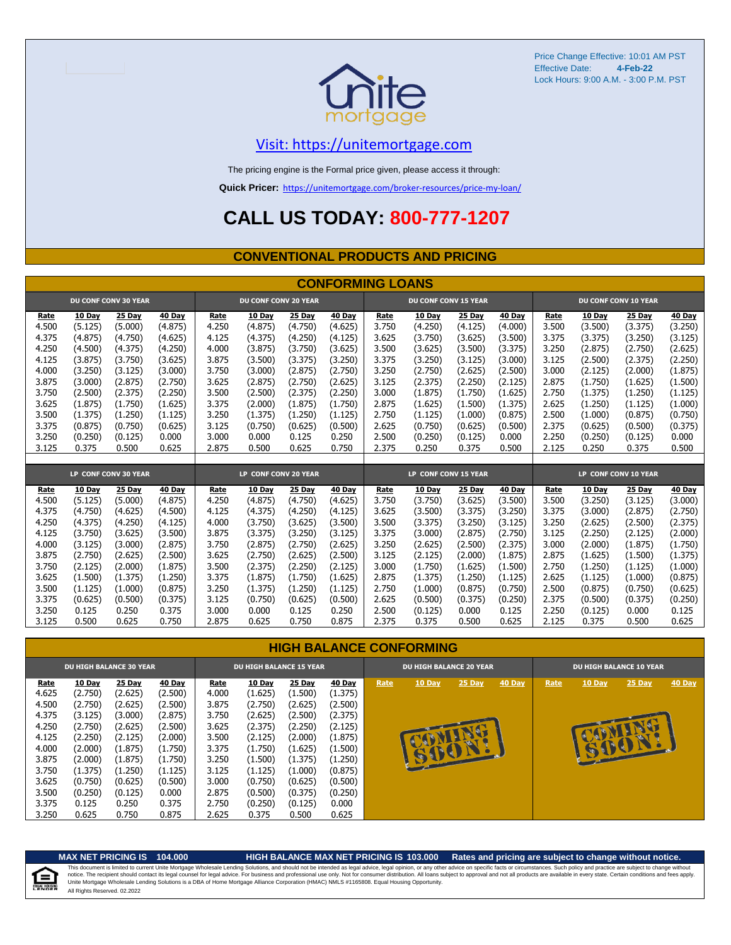

#### [V](https://unitemortgage.com/)isit: https://unitemortgage.com

The pricing engine is the Formal price given, please access it through:

**Quick Pricer:** [https://un](https://unitemortgage.com/broker-resources/price-my-loan/)itemortgage.com/broker-resources/price-my-loan/

# **CALL US TODAY: 800-777-1207**

#### **CONVENTIONAL PRODUCTS AND PRICING**

|       |         |                             |         |       |                             |         | <b>CONFORMING LOANS</b> |       |                             |         |         |       |         |                             |               |
|-------|---------|-----------------------------|---------|-------|-----------------------------|---------|-------------------------|-------|-----------------------------|---------|---------|-------|---------|-----------------------------|---------------|
|       |         | <b>DU CONF CONV 30 YEAR</b> |         |       | <b>DU CONF CONV 20 YEAR</b> |         |                         |       | <b>DU CONF CONV 15 YEAR</b> |         |         |       |         | <b>DU CONF CONV 10 YEAR</b> |               |
| Rate  | 10 Day  | <b>25 Day</b>               | 40 Day  | Rate  | 10 Day                      | 25 Day  | 40 Day                  | Rate  | 10 Day                      | 25 Day  | 40 Day  | Rate  | 10 Day  | 25 Day                      | <b>40 Day</b> |
| 4.500 | (5.125) | (5.000)                     | (4.875) | 4.250 | (4.875)                     | (4.750) | (4.625)                 | 3.750 | (4.250)                     | (4.125) | (4.000) | 3.500 | (3.500) | (3.375)                     | (3.250)       |
| 4.375 | (4.875) | (4.750)                     | (4.625) | 4.125 | (4.375)                     | (4.250) | (4.125)                 | 3.625 | (3.750)                     | (3.625) | (3.500) | 3.375 | (3.375) | (3.250)                     | (3.125)       |
| 4.250 | (4.500) | (4.375)                     | (4.250) | 4.000 | (3.875)                     | (3.750) | (3.625)                 | 3.500 | (3.625)                     | (3.500) | (3.375) | 3.250 | (2.875) | (2.750)                     | (2.625)       |
| 4.125 | (3.875) | (3.750)                     | (3.625) | 3.875 | (3.500)                     | (3.375) | (3.250)                 | 3.375 | (3.250)                     | (3.125) | (3.000) | 3.125 | (2.500) | (2.375)                     | (2.250)       |
| 4.000 | (3.250) | (3.125)                     | (3.000) | 3.750 | (3,000)                     | (2.875) | (2.750)                 | 3.250 | (2.750)                     | (2.625) | (2.500) | 3.000 | (2.125) | (2,000)                     | (1.875)       |
| 3.875 | (3.000) | (2.875)                     | (2.750) | 3.625 | (2.875)                     | (2.750) | (2.625)                 | 3.125 | (2.375)                     | (2.250) | (2.125) | 2.875 | (1.750) | (1.625)                     | (1.500)       |
| 3.750 | (2.500) | (2.375)                     | (2.250) | 3.500 | (2.500)                     | (2.375) | (2.250)                 | 3.000 | (1.875)                     | (1.750) | (1.625) | 2.750 | (1.375) | (1.250)                     | (1.125)       |
| 3.625 | (1.875) | (1.750)                     | (1.625) | 3.375 | (2.000)                     | (1.875) | (1.750)                 | 2.875 | (1.625)                     | (1.500) | (1.375) | 2.625 | (1.250) | (1.125)                     | (1.000)       |
| 3.500 | (1.375) | (1.250)                     | (1.125) | 3.250 | (1.375)                     | (1.250) | (1.125)                 | 2.750 | (1.125)                     | (1.000) | (0.875) | 2.500 | (1.000) | (0.875)                     | (0.750)       |
| 3.375 | (0.875) | (0.750)                     | (0.625) | 3.125 | (0.750)                     | (0.625) | (0.500)                 | 2.625 | (0.750)                     | (0.625) | (0.500) | 2.375 | (0.625) | (0.500)                     | (0.375)       |
| 3.250 | (0.250) | (0.125)                     | 0.000   | 3.000 | 0.000                       | 0.125   | 0.250                   | 2.500 | (0.250)                     | (0.125) | 0.000   | 2.250 | (0.250) | (0.125)                     | 0.000         |
| 3.125 | 0.375   | 0.500                       | 0.625   | 2.875 | 0.500                       | 0.625   | 0.750                   | 2.375 | 0.250                       | 0.375   | 0.500   | 2.125 | 0.250   | 0.375                       | 0.500         |
|       |         |                             |         |       |                             |         |                         |       |                             |         |         |       |         |                             |               |
|       |         | LP CONF CONV 30 YEAR        |         |       | LP CONF CONV 20 YEAR        |         |                         |       | LP CONF CONV 15 YEAR        |         |         |       |         | LP CONF CONV 10 YEAR        |               |
| Rate  | 10 Dav  | 25 Day                      | 40 Day  | Rate  | 10 Dav                      | 25 Day  | 40 Dav                  | Rate  | 10 Day                      | 25 Day  | 40 Day  | Rate  | 10 Dav  | 25 Day                      | 40 Day        |
| 4.500 | (5.125) | (5.000)                     | (4.875) | 4.250 | (4.875)                     | (4.750) | (4.625)                 | 3.750 | (3.750)                     | (3.625) | (3.500) | 3.500 | (3.250) | (3.125)                     | (3.000)       |
| 4.375 | (4.750) | (4.625)                     | (4.500) | 4.125 | (4.375)                     | (4.250) | (4.125)                 | 3.625 | (3.500)                     | (3.375) | (3.250) | 3.375 | (3.000) | (2.875)                     | (2.750)       |
| 4.250 | (4.375) | (4.250)                     | (4.125) | 4.000 | (3.750)                     | (3.625) | (3.500)                 | 3.500 | (3.375)                     | (3.250) | (3.125) | 3.250 | (2.625) | (2.500)                     | (2.375)       |
| 4.125 | (3.750) | (3.625)                     | (3.500) | 3.875 | (3.375)                     | (3.250) | (3.125)                 | 3.375 | (3.000)                     | (2.875) | (2.750) | 3.125 | (2.250) | (2.125)                     | (2.000)       |
| 4.000 | (3.125) | (3.000)                     | (2.875) | 3.750 | (2.875)                     | (2.750) | (2.625)                 | 3.250 | (2.625)                     | (2.500) | (2.375) | 3.000 | (2.000) | (1.875)                     | (1.750)       |
| 3.875 | (2.750) | (2.625)                     | (2.500) | 3.625 | (2.750)                     | (2.625) | (2.500)                 | 3.125 | (2.125)                     | (2.000) | (1.875) | 2.875 | (1.625) | (1.500)                     | (1.375)       |
| 3.750 | (2.125) | (2.000)                     | (1.875) | 3.500 | (2.375)                     | (2.250) | (2.125)                 | 3.000 | (1.750)                     | (1.625) | (1.500) | 2.750 | (1.250) | (1.125)                     | (1.000)       |
| 3.625 | (1.500) | (1.375)                     | (1.250) | 3.375 | (1.875)                     | (1.750) | (1.625)                 | 2.875 | (1.375)                     | (1.250) | (1.125) | 2.625 | (1.125) | (1.000)                     | (0.875)       |
| 3.500 | (1.125) | (1.000)                     | (0.875) | 3.250 | (1.375)                     | (1.250) | (1.125)                 | 2.750 | (1.000)                     | (0.875) | (0.750) | 2.500 | (0.875) | (0.750)                     | (0.625)       |
| 3.375 | (0.625) | (0.500)                     | (0.375) | 3.125 | (0.750)                     | (0.625) | (0.500)                 | 2.625 | (0.500)                     | (0.375) | (0.250) | 2.375 | (0.500) | (0.375)                     | (0.250)       |
| 3.250 | 0.125   | 0.250                       | 0.375   | 3.000 | 0.000                       | 0.125   | 0.250                   | 2.500 | (0.125)                     | 0.000   | 0.125   | 2.250 | (0.125) | 0.000                       | 0.125         |
| 3.125 | 0.500   | 0.625                       | 0.750   | 2.875 | 0.625                       | 0.750   | 0.875                   | 2.375 | 0.375                       | 0.500   | 0.625   | 2.125 | 0.375   | 0.500                       | 0.625         |

#### **HIGH BALANCE CONFORMING**

|       |         | <b>DU HIGH BALANCE 30 YEAR</b> |         |       | <b>DU HIGH BALANCE 15 YEAR</b> |         |         |      | <b>DU HIGH BALANCE 20 YEAR</b> |               | <b>DU HIGH BALANCE 10 YEAR</b> |      |               |          |               |  |  |
|-------|---------|--------------------------------|---------|-------|--------------------------------|---------|---------|------|--------------------------------|---------------|--------------------------------|------|---------------|----------|---------------|--|--|
| Rate  | 10 Day  | 25 Day                         | 40 Day  | Rate  | <b>10 Day</b>                  | 25 Day  | 40 Day  | Rate | <b>10 Day</b>                  | <b>25 Day</b> | 40 Day                         | Rate | <b>10 Day</b> | $25$ Day | <b>40 Day</b> |  |  |
| 4.625 | (2.750) | (2.625)                        | (2.500) | 4.000 | (1.625)                        | (1.500) | (1.375) |      |                                |               |                                |      |               |          |               |  |  |
| 4.500 | (2.750) | (2.625)                        | (2.500) | 3.875 | (2.750)                        | (2.625) | (2.500) |      |                                |               |                                |      |               |          |               |  |  |
| 4.375 | (3.125) | (3.000)                        | (2.875) | 3.750 | (2.625)                        | (2.500) | (2.375) |      |                                |               |                                |      |               |          |               |  |  |
| 4.250 | (2.750) | (2.625)                        | (2.500) | 3.625 | (2.375)                        | (2.250) | (2.125) |      |                                |               |                                |      |               |          |               |  |  |
| 4.125 | (2.250) | (2.125)                        | (2.000) | 3.500 | (2.125)                        | (2.000) | (1.875) |      |                                |               |                                |      |               |          |               |  |  |
| 4.000 | (2.000) | (1.875)                        | (1.750) | 3.375 | (1.750)                        | (1.625) | (1.500) |      |                                |               |                                |      | B             | E        |               |  |  |
| 3.875 | (2.000) | (1.875)                        | (1.750) | 3.250 | (1.500)                        | (1.375) | (1.250) |      | <b>ALLES A</b>                 |               |                                |      |               |          |               |  |  |
| 3.750 | (1.375) | (1.250)                        | (1.125) | 3.125 | (1.125)                        | (1.000) | (0.875) |      |                                |               |                                |      |               |          |               |  |  |
| 3.625 | (0.750) | (0.625)                        | (0.500) | 3.000 | (0.750)                        | (0.625) | (0.500) |      |                                |               |                                |      |               |          |               |  |  |
| 3.500 | (0.250) | (0.125)                        | 0.000   | 2.875 | (0.500)                        | (0.375) | (0.250) |      |                                |               |                                |      |               |          |               |  |  |
| 3.375 | 0.125   | 0.250                          | 0.375   | 2.750 | (0.250)                        | (0.125) | 0.000   |      |                                |               |                                |      |               |          |               |  |  |
| 3.250 | 0.625   | 0.750                          | 0.875   | 2.625 | 0.375                          | 0.500   | 0.625   |      |                                |               |                                |      |               |          |               |  |  |

自

#### **MAX NET PRICING IS 104.000 HIGH BALANCE MAX NET PRICING IS 103.000 Rates and pricing are subject to change without notice.**

All Rights Reserved. 02.2022 This document is limited to current Unite Mortgage Wholesale Lending Solutions, and should not be intended as legal advice, legal opinion, or any other advice on specific facts or circumstances. Such policy and practice ar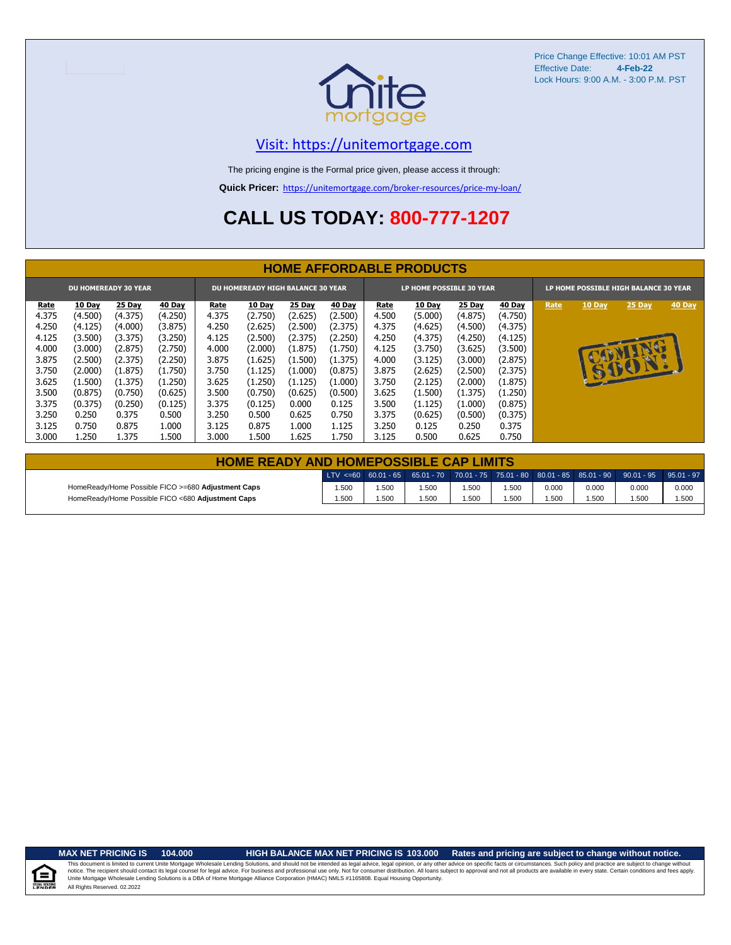

#### [V](https://unitemortgage.com/)isit: https://unitemortgage.com

The pricing engine is the Formal price given, please access it through:

**Quick Pricer:** [https://un](https://unitemortgage.com/broker-resources/price-my-loan/)itemortgage.com/broker-resources/price-my-loan/

# **CALL US TODAY: 800-777-1207**

|             | <b>HOME AFFORDABLE PRODUCTS</b>                                         |         |               |       |               |         |               |       |         |                                                                          |               |      |               |        |        |
|-------------|-------------------------------------------------------------------------|---------|---------------|-------|---------------|---------|---------------|-------|---------|--------------------------------------------------------------------------|---------------|------|---------------|--------|--------|
|             | <b>DU HOMEREADY 30 YEAR</b><br><b>DU HOMEREADY HIGH BALANCE 30 YEAR</b> |         |               |       |               |         |               |       |         | <b>LP HOME POSSIBLE 30 YEAR</b><br>LP HOME POSSIBLE HIGH BALANCE 30 YEAR |               |      |               |        |        |
| <u>Rate</u> | 10 Day                                                                  | 25 Day  | <b>40 Day</b> | Rate  | <b>10 Day</b> | 25 Day  | <b>40 Day</b> | Rate  | 10 Day  | <b>25 Day</b>                                                            | <b>40 Day</b> | Rate | <b>10 Day</b> | 25 Day | 40 Day |
| 4.375       | (4.500)                                                                 | (4.375) | (4.250)       | 4.375 | (2.750)       | (2.625) | (2.500)       | 4.500 | (5.000) | (4.875)                                                                  | (4.750)       |      |               |        |        |
| 4.250       | (4.125)                                                                 | (4.000) | (3.875)       | 4.250 | (2.625)       | (2.500) | (2.375)       | 4.375 | (4.625) | (4.500)                                                                  | (4.375)       |      |               |        |        |
| 4.125       | (3.500)                                                                 | (3.375) | (3.250)       | 4.125 | (2.500)       | (2.375) | (2.250)       | 4.250 | (4.375) | (4.250)                                                                  | (4.125)       |      |               |        |        |
| 4.000       | (3.000)                                                                 | (2.875) | (2.750)       | 4.000 | (2.000)       | (1.875) | (1.750)       | 4.125 | (3.750) | (3.625)                                                                  | (3.500)       |      |               | NO     |        |
| 3.875       | (2.500)                                                                 | (2.375) | (2.250)       | 3.875 | (1.625)       | (1.500) | (1.375)       | 4.000 | (3.125) | (3.000)                                                                  | (2.875)       |      |               |        |        |
| 3.750       | (2.000)                                                                 | (1.875) | (1.750)       | 3.750 | (1.125)       | (1.000) | (0.875)       | 3.875 | (2.625) | (2.500)                                                                  | (2.375)       |      |               | 15001. |        |
| 3.625       | (1.500)                                                                 | (1.375) | (1.250)       | 3.625 | (1.250)       | (1.125) | (1.000)       | 3.750 | (2.125) | (2.000)                                                                  | (1.875)       |      |               |        |        |
| 3.500       | (0.875)                                                                 | (0.750) | (0.625)       | 3.500 | (0.750)       | (0.625) | (0.500)       | 3.625 | (1.500) | (1.375)                                                                  | (1.250)       |      |               |        |        |
| 3.375       | (0.375)                                                                 | (0.250) | (0.125)       | 3.375 | (0.125)       | 0.000   | 0.125         | 3.500 | (1.125) | (1.000)                                                                  | (0.875)       |      |               |        |        |
| 3.250       | 0.250                                                                   | 0.375   | 0.500         | 3.250 | 0.500         | 0.625   | 0.750         | 3.375 | (0.625) | (0.500)                                                                  | (0.375)       |      |               |        |        |
| 3.125       | 0.750                                                                   | 0.875   | 1.000         | 3.125 | 0.875         | 1.000   | 1.125         | 3.250 | 0.125   | 0.250                                                                    | 0.375         |      |               |        |        |
| 3.000       | 1.250                                                                   | 1.375   | 1.500         | 3.000 | 1.500         | 1.625   | 1.750         | 3.125 | 0.500   | 0.625                                                                    | 0.750         |      |               |        |        |

| <b>HOME READY AND HOMEPOSSIBLE CAP LIMITS</b>      |      |        |      |      |       |       |       |                                                                                                  |       |
|----------------------------------------------------|------|--------|------|------|-------|-------|-------|--------------------------------------------------------------------------------------------------|-------|
|                                                    |      |        |      |      |       |       |       | LTV <=60 60.01 - 65 65.01 - 70 70.01 - 75 75.01 - 80 80.01 - 85 85.01 - 90 90.01 - 95 95.01 - 97 |       |
| HomeReady/Home Possible FICO >=680 Adjustment Caps | .500 | i .500 | .500 | .500 | 1.500 | 0.000 | 0.000 | 0.000                                                                                            | 0.000 |
| HomeReady/Home Possible FICO <680 Adjustment Caps  | .500 | .500   | .500 | .500 | 1.500 | .500  | 1.500 | .500                                                                                             | 1.500 |

.<br>N. Hou

**MAX NET PRICING IS 104.000 HIGH BALANCE MAX NET PRICING IS 103.000 Rates and pricing are subject to change without notice.**

All Rights Reserved. 02.2022 This document is limited to current Unite Mortgage Wholesale Lending Solutions, and should not be intended as legal advice, legal opinion, or any other advice on specific facts or circumstances. Such policy and practice ar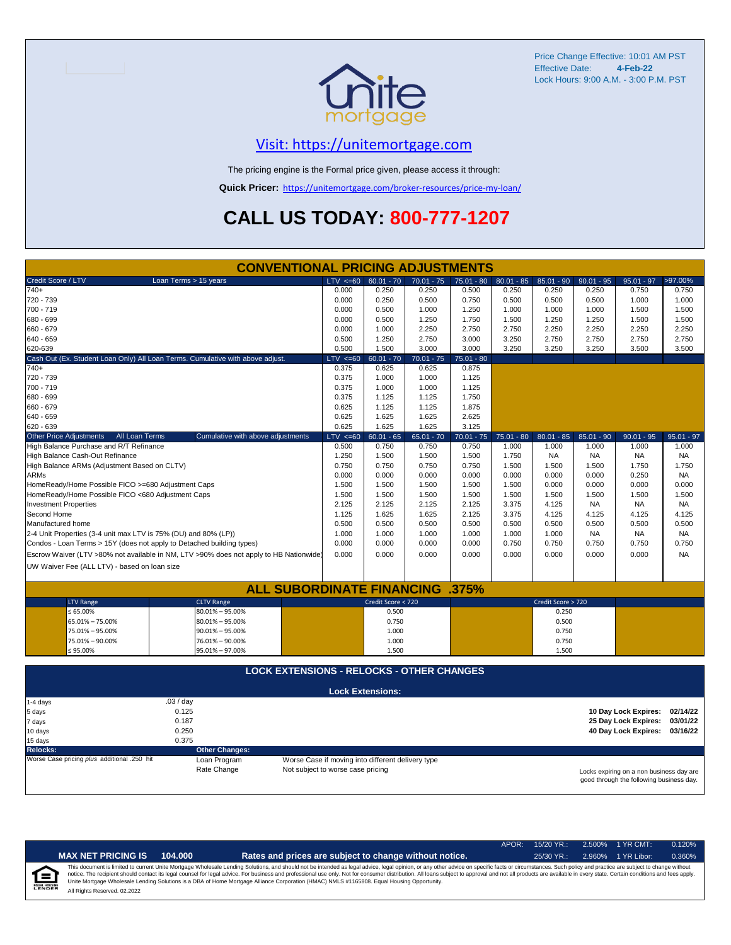

### [V](https://unitemortgage.com/)isit: https://unitemortgage.com

The pricing engine is the Formal price given, please access it through:

**Quick Pricer:** [https://un](https://unitemortgage.com/broker-resources/price-my-loan/)itemortgage.com/broker-resources/price-my-loan/

# **CALL US TODAY: 800-777-1207**

| <b>CONVENTIONAL PRICING ADJUSTMENTS</b>                                                |                                   |                                                   |              |              |              |                    |              |                                          |              |  |
|----------------------------------------------------------------------------------------|-----------------------------------|---------------------------------------------------|--------------|--------------|--------------|--------------------|--------------|------------------------------------------|--------------|--|
| Credit Score / LTV<br>Loan Terms > 15 years                                            | LTV < 60                          | $60.01 - 70$                                      | $70.01 - 75$ | $75.01 - 80$ | $80.01 - 85$ | $85.01 - 90$       | $90.01 - 95$ | $95.01 - 97$                             | >97.00%      |  |
| $740+$                                                                                 | 0.000                             | 0.250                                             | 0.250        | 0.500        | 0.250        | 0.250              | 0.250        | 0.750                                    | 0.750        |  |
| 720 - 739                                                                              | 0.000                             | 0.250                                             | 0.500        | 0.750        | 0.500        | 0.500              | 0.500        | 1.000                                    | 1.000        |  |
| 700 - 719                                                                              | 0.000                             | 0.500                                             | 1.000        | 1.250        | 1.000        | 1.000              | 1.000        | 1.500                                    | 1.500        |  |
| 680 - 699                                                                              | 0.000                             | 0.500                                             | 1.250        | 1.750        | 1.500        | 1.250              | 1.250        | 1.500                                    | 1.500        |  |
| 660 - 679                                                                              | 0.000                             | 1.000                                             | 2.250        | 2.750        | 2.750        | 2.250              | 2.250        | 2.250                                    | 2.250        |  |
| 640 - 659                                                                              | 0.500                             | 1.250                                             | 2.750        | 3.000        | 3.250        | 2.750              | 2.750        | 2.750                                    | 2.750        |  |
| 620-639                                                                                | 0.500                             | 1.500                                             | 3.000        | 3.000        | 3.250        | 3.250              | 3.250        | 3.500                                    | 3.500        |  |
| Cash Out (Ex. Student Loan Only) All Loan Terms. Cumulative with above adjust.         | $LTV \le 60$                      | $60.01 - 70$                                      | $70.01 - 75$ | $75.01 - 80$ |              |                    |              |                                          |              |  |
| $740+$                                                                                 | 0.375                             | 0.625                                             | 0.625        | 0.875        |              |                    |              |                                          |              |  |
| 720 - 739                                                                              | 0.375                             | 1.000                                             | 1.000        | 1.125        |              |                    |              |                                          |              |  |
| 700 - 719                                                                              | 0.375                             | 1.000                                             | 1.000        | 1.125        |              |                    |              |                                          |              |  |
| 680 - 699                                                                              | 0.375                             | 1.125                                             | 1.125        | 1.750        |              |                    |              |                                          |              |  |
| 660 - 679                                                                              | 0.625                             | 1.125                                             | 1.125        | 1.875        |              |                    |              |                                          |              |  |
| 640 - 659                                                                              | 0.625                             | 1.625                                             | 1.625        | 2.625        |              |                    |              |                                          |              |  |
| 620 - 639                                                                              | 0.625                             | 1.625                                             | 1.625        | 3.125        |              |                    |              |                                          |              |  |
| <b>Other Price Adjustments</b><br>All Loan Terms<br>Cumulative with above adjustments  | $LTV \le 60$                      | $60.01 - 65$                                      | $65.01 - 70$ | $70.01 - 75$ | $75.01 - 80$ | $80.01 - 85$       | $85.01 - 90$ | $90.01 - 95$                             | $95.01 - 97$ |  |
| High Balance Purchase and R/T Refinance                                                | 0.500                             | 0.750                                             | 0.750        | 0.750        | 1.000        | 1.000              | 1.000        | 1.000                                    | 1.000        |  |
| High Balance Cash-Out Refinance                                                        | 1.250                             | 1.500                                             | 1.500        | 1.500        | 1.750        | <b>NA</b>          | <b>NA</b>    | <b>NA</b>                                | <b>NA</b>    |  |
| High Balance ARMs (Adjustment Based on CLTV)                                           | 0.750                             | 0.750                                             | 0.750        | 0.750        | 1.500        | 1.500              | 1.500        | 1.750                                    | 1.750        |  |
| <b>ARMs</b>                                                                            | 0.000                             | 0.000                                             | 0.000        | 0.000        | 0.000        | 0.000              | 0.000        | 0.250                                    | <b>NA</b>    |  |
| HomeReady/Home Possible FICO >=680 Adjustment Caps                                     | 1.500                             | 1.500                                             | 1.500        | 1.500        | 1.500        | 0.000              | 0.000        | 0.000                                    | 0.000        |  |
| HomeReady/Home Possible FICO <680 Adjustment Caps                                      | 1.500                             | 1.500                                             | 1.500        | 1.500        | 1.500        | 1.500              | 1.500        | 1.500                                    | 1.500        |  |
| <b>Investment Properties</b>                                                           | 2.125                             | 2.125                                             | 2.125        | 2.125        | 3.375        | 4.125              | <b>NA</b>    | <b>NA</b>                                | <b>NA</b>    |  |
| Second Home                                                                            | 1.125                             | 1.625                                             | 1.625        | 2.125        | 3.375        | 4.125              | 4.125        | 4.125                                    | 4.125        |  |
| Manufactured home                                                                      | 0.500                             | 0.500                                             | 0.500        | 0.500        | 0.500        | 0.500              | 0.500        | 0.500                                    | 0.500        |  |
| 2-4 Unit Properties (3-4 unit max LTV is 75% (DU) and 80% (LP))                        | 1.000                             | 1.000                                             | 1.000        | 1.000        | 1.000        | 1.000              | <b>NA</b>    | <b>NA</b>                                | <b>NA</b>    |  |
| Condos - Loan Terms > 15Y (does not apply to Detached building types)                  | 0.000                             | 0.000                                             | 0.000        | 0.000        | 0.750        | 0.750              | 0.750        | 0.750                                    | 0.750        |  |
| Escrow Waiver (LTV >80% not available in NM, LTV >90% does not apply to HB Nationwide) | 0.000                             | 0.000                                             | 0.000        | 0.000        | 0.000        | 0.000              | 0.000        | 0.000                                    | <b>NA</b>    |  |
| UW Waiver Fee (ALL LTV) - based on loan size                                           |                                   |                                                   |              |              |              |                    |              |                                          |              |  |
|                                                                                        |                                   |                                                   |              |              |              |                    |              |                                          |              |  |
| <b>ALL SUBORDINATE FINANCING .375%</b>                                                 |                                   |                                                   |              |              |              |                    |              |                                          |              |  |
| <b>LTV Range</b><br><b>CLTV Range</b>                                                  |                                   | Credit Score < 720                                |              |              |              | Credit Score > 720 |              |                                          |              |  |
| $\leq 65.00\%$<br>$80.01\% - 95.00\%$                                                  |                                   | 0.500                                             |              |              |              | 0.250              |              |                                          |              |  |
| 65.01% - 75.00%<br>$80.01\% - 95.00\%$                                                 |                                   | 0.750                                             |              |              |              | 0.500              |              |                                          |              |  |
| 75.01% - 95.00%<br>$90.01\% - 95.00\%$                                                 |                                   | 1.000                                             |              |              |              | 0.750              |              |                                          |              |  |
| 75.01% - 90.00%<br>76.01% - 90.00%                                                     |                                   | 1.000                                             |              |              |              | 0.750              |              |                                          |              |  |
| $\leq 95.00\%$<br>95.01% - 97.00%                                                      |                                   | 1.500                                             |              |              |              | 1.500              |              |                                          |              |  |
|                                                                                        |                                   |                                                   |              |              |              |                    |              |                                          |              |  |
| <b>LOCK EXTENSIONS - RELOCKS - OTHER CHANGES</b>                                       |                                   |                                                   |              |              |              |                    |              |                                          |              |  |
|                                                                                        |                                   |                                                   |              |              |              |                    |              |                                          |              |  |
|                                                                                        |                                   | <b>Lock Extensions:</b>                           |              |              |              |                    |              |                                          |              |  |
| .03 / day<br>1-4 days                                                                  |                                   |                                                   |              |              |              |                    |              |                                          |              |  |
| 0.125<br>5 days                                                                        |                                   |                                                   |              |              |              |                    |              | 10 Day Lock Expires:                     | 02/14/22     |  |
| 0.187<br>7 days                                                                        |                                   |                                                   |              |              |              |                    |              | 25 Day Lock Expires:                     | 03/01/22     |  |
| 0.250<br>10 days                                                                       |                                   |                                                   |              |              |              |                    |              | 40 Day Lock Expires:                     | 03/16/22     |  |
| 0.375<br>15 days                                                                       |                                   |                                                   |              |              |              |                    |              |                                          |              |  |
| <b>Other Changes:</b><br><b>Relocks:</b>                                               |                                   |                                                   |              |              |              |                    |              |                                          |              |  |
| Worse Case pricing plus additional .250 hit<br>Loan Program                            |                                   | Worse Case if moving into different delivery type |              |              |              |                    |              |                                          |              |  |
| Rate Change                                                                            | Not subject to worse case pricing |                                                   |              |              |              |                    |              | Locks expiring on a non business day are |              |  |

Locks expiring on a non business day are good through the following business day.

|       |                              |         |                                                                                                                                                                                                                                                                                                                                                                                                                                                                                                                                                                                                                | $APOR+$ | $15/20$ YR.: | 2.500% 1 YR CMT:   | 0.120% |
|-------|------------------------------|---------|----------------------------------------------------------------------------------------------------------------------------------------------------------------------------------------------------------------------------------------------------------------------------------------------------------------------------------------------------------------------------------------------------------------------------------------------------------------------------------------------------------------------------------------------------------------------------------------------------------------|---------|--------------|--------------------|--------|
|       | <b>MAX NET PRICING IS</b>    | 104.000 | Rates and prices are subject to change without notice.                                                                                                                                                                                                                                                                                                                                                                                                                                                                                                                                                         |         | $25/30$ YR.: | 2.960% 1 YR Libor: | 0.360% |
| ENDER | All Rights Reserved. 02.2022 |         | This document is limited to current Unite Mortgage Wholesale Lending Solutions, and should not be intended as legal advice, legal opinion, or any other advice on specific facts or circumstances. Such policy and practice ar<br>notice. The recipient should contact its legal counsel for legal advice. For business and professional use only. Not for consumer distribution. All loans subject to approval and not all products are available in every stat<br>Unite Mortgage Wholesale Lending Solutions is a DBA of Home Mortgage Alliance Corporation (HMAC) NMLS #1165808. Equal Housing Opportunity. |         |              |                    |        |